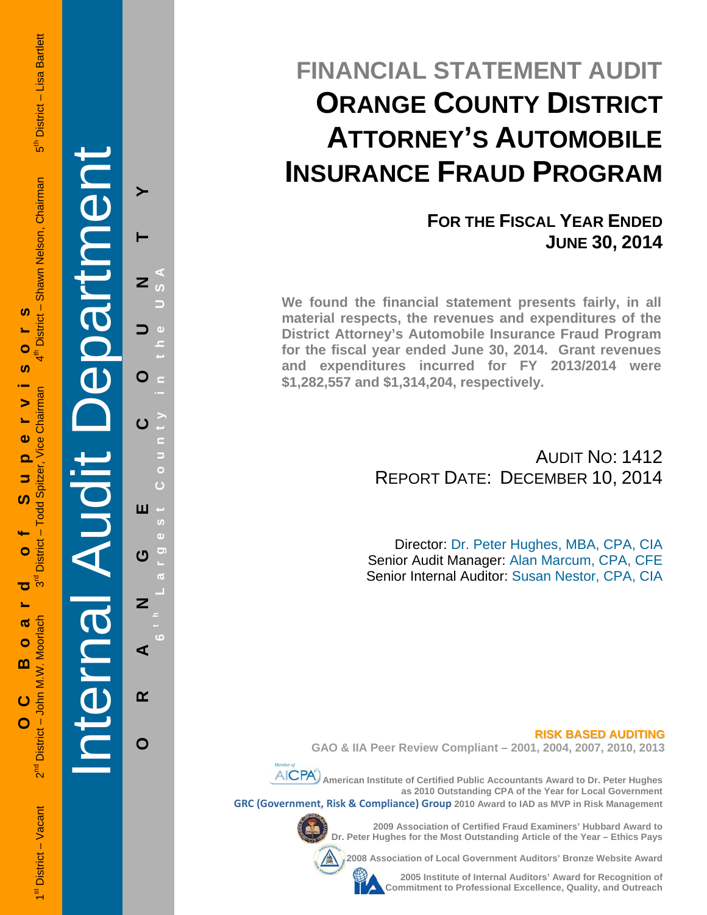# **FINANCIAL STATEMENT AUDIT ORANGE COUNTY DISTRICT ATTORNEY'S AUTOMOBILE INSURANCE FRAUD PROGRAM**

**FOR THE FISCAL YEAR ENDED JUNE 30, 2014**

**We found the financial statement presents fairly, in all material respects, the revenues and expenditures of the District Attorney's Automobile Insurance Fraud Program for the fiscal year ended June 30, 2014. Grant revenues and expenditures incurred for FY 2013/2014 were \$1,282,557 and \$1,314,204, respectively.** 

> AUDIT NO: 1412 REPORT DATE: DECEMBER 10, 2014

Director: Dr. Peter Hughes, MBA, CPA, CIA Senior Audit Manager: Alan Marcum, CPA, CFE Senior Internal Auditor: Susan Nestor, CPA, CIA

#### **RISK BASED AUDITING**

**GAO & IIA Peer Review Compliant – 2001, 2004, 2007, 2010, 2013** 



 **American Institute of Certified Public Accountants Award to Dr. Peter Hughes as 2010 Outstanding CPA of the Year for Local Government GRC (Government, Risk & Compliance) Group 2010 Award to IAD as MVP in Risk Management** 



**2009 Association of Certified Fraud Examiners' Hubbard Award to Dr. Peter Hughes for the Most Outstanding Article of the Year – Ethics Pays** 

**2008 Association of Local Government Auditors' Bronze Website Award** 

**2005 Institute of Internal Auditors' Award for Recognition of Commitment to Professional Excellence, Quality, and Outreach**

1st District – Vacant 2<sup>nd</sup> District – John M.W. Moorlach 3<sup>rd</sup> District – Todd Spitzer, Vice Chairman 4<sup>th</sup> District – Shawn Nelson, Chairman 5<sup>th</sup> District – Lisa Bartlett District - Lisa Bartlett €<br>آه District - Shawn Nelson, Chairman **OC Board of Supervisors S S** Todd Spitzer, Vice Chairman  $\blacktriangleright$  $\ddot{\mathbf{0}}$  $\Rightarrow$ ഗ  $\overline{\phantom{a}}$ **District** Ō ల్లె ರ 2<sup>nd</sup> District – John M.W. Moorlach  $\boldsymbol{\sigma}$ Ó മ ပ  $\mathbf C$ 

Internal Audit Department

**ORANGE COUNTY 6 t h Lar**

O

 $\mathbf C$ 

ш

ෆ

Z

⋖

 $\alpha$ 

 $\mathbf O$ 

**g**

**est Count**

**y in the USA** 

1<sup>st</sup> District - Vacant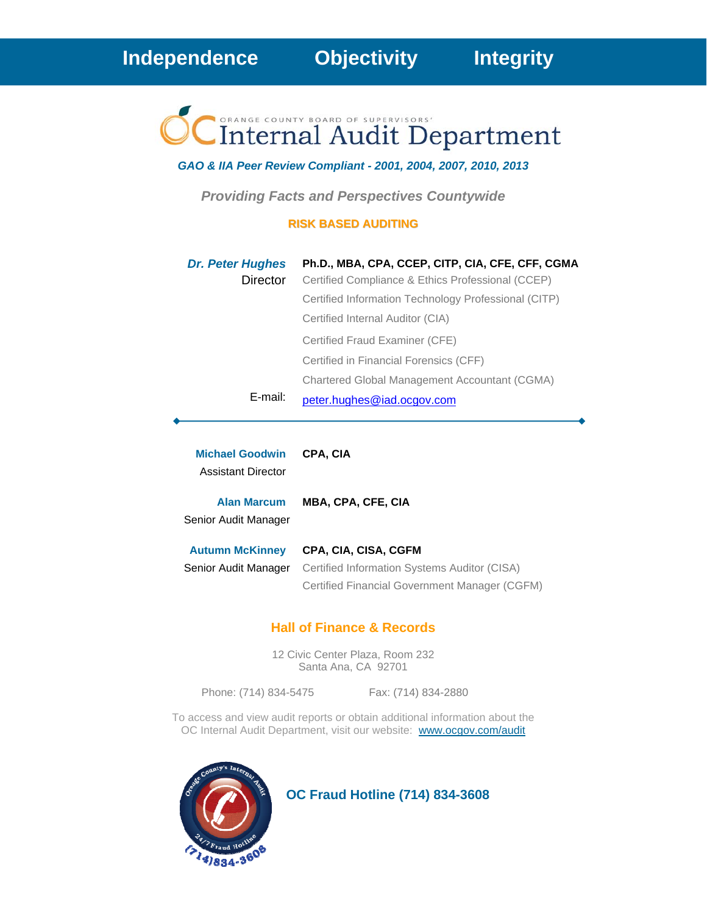# **Internal Audit Department**

## *GAO & IIA Peer Review Compliant - 2001, 2004, 2007, 2010, 2013*

*Providing Facts and Perspectives Countywide* 

#### **RISK BASED AUDITING**

| <b>Dr. Peter Hughes</b> | Ph.D., MBA, CPA, CCEP, CITP, CIA, CFE, CFF, CGMA     |
|-------------------------|------------------------------------------------------|
| Director                | Certified Compliance & Ethics Professional (CCEP)    |
|                         | Certified Information Technology Professional (CITP) |
|                         | Certified Internal Auditor (CIA)                     |
|                         | Certified Fraud Examiner (CFE)                       |
|                         | Certified in Financial Forensics (CFF)               |
|                         | Chartered Global Management Accountant (CGMA)        |
| E-mail:                 | peter.hughes@iad.ocgov.com                           |

**Michael Goodwin CPA, CIA** Assistant Director

**Alan Marcum MBA, CPA, CFE, CIA** Senior Audit Manager **Autumn McKinney CPA, CIA, CISA, CGFM** Senior Audit Manager Certified Information Systems Auditor (CISA)

## **Hall of Finance & Records**

12 Civic Center Plaza, Room 232 Santa Ana, CA 92701

Phone: (714) 834-5475 Fax: (714) 834-2880

Certified Financial Government Manager (CGFM)

To access and view audit reports or obtain additional information about the OC Internal Audit Department, visit our website: www.ocgov.com/audit



 **OC Fraud Hotline (714) 834-3608**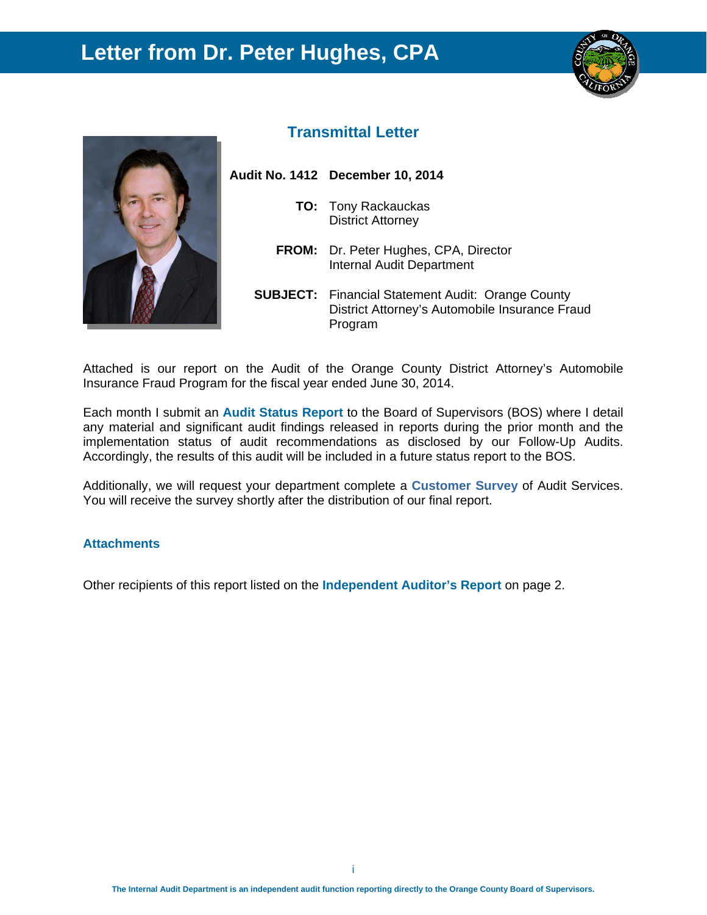# **Letter from Dr. Peter Hughes, CPA**





# **Transmittal Letter**

- **Audit No. 1412 December 10, 2014 TO:** Tony Rackauckas
	- District Attorney
	- **FROM:** Dr. Peter Hughes, CPA, Director Internal Audit Department
	- **SUBJECT:** Financial Statement Audit: Orange County District Attorney's Automobile Insurance Fraud Program

Attached is our report on the Audit of the Orange County District Attorney's Automobile Insurance Fraud Program for the fiscal year ended June 30, 2014.

Each month I submit an **Audit Status Report** to the Board of Supervisors (BOS) where I detail any material and significant audit findings released in reports during the prior month and the implementation status of audit recommendations as disclosed by our Follow-Up Audits. Accordingly, the results of this audit will be included in a future status report to the BOS.

Additionally, we will request your department complete a **Customer Survey** of Audit Services. You will receive the survey shortly after the distribution of our final report.

## **Attachments**

Other recipients of this report listed on the **Independent Auditor's Report** on page 2.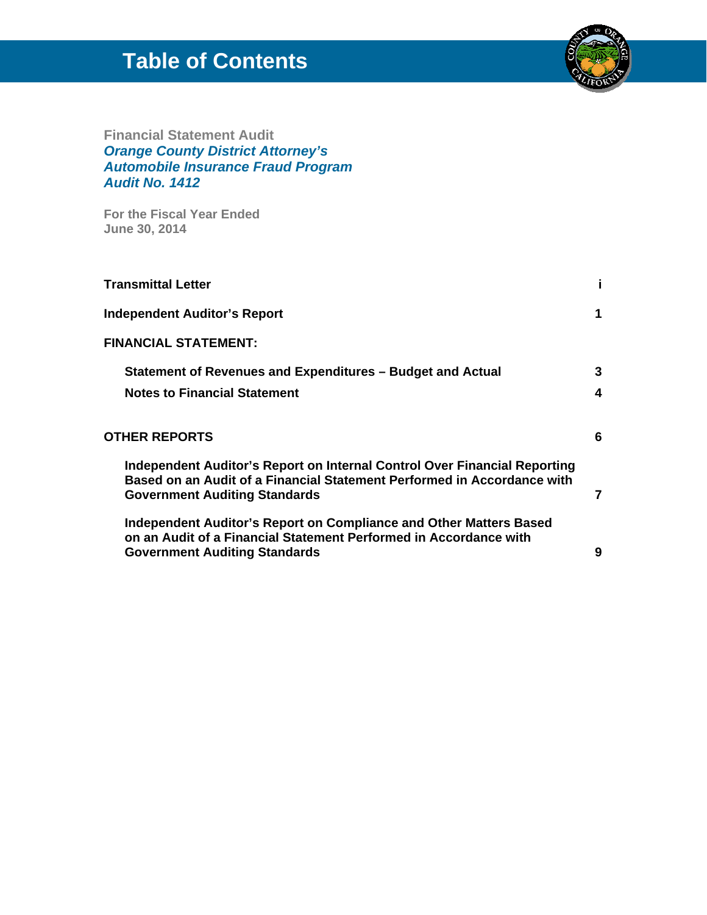# **Table of Contents**



**Financial Statement Audit**  *Orange County District Attorney's Automobile Insurance Fraud Program Audit No. 1412* 

**For the Fiscal Year Ended June 30, 2014** 

| <b>Transmittal Letter</b>                                                                                                                                                                    |   |
|----------------------------------------------------------------------------------------------------------------------------------------------------------------------------------------------|---|
| <b>Independent Auditor's Report</b>                                                                                                                                                          | 1 |
| <b>FINANCIAL STATEMENT:</b>                                                                                                                                                                  |   |
| Statement of Revenues and Expenditures - Budget and Actual                                                                                                                                   | 3 |
| <b>Notes to Financial Statement</b>                                                                                                                                                          | 4 |
| <b>OTHER REPORTS</b>                                                                                                                                                                         | 6 |
| Independent Auditor's Report on Internal Control Over Financial Reporting<br>Based on an Audit of a Financial Statement Performed in Accordance with<br><b>Government Auditing Standards</b> | 7 |
| Independent Auditor's Report on Compliance and Other Matters Based<br>on an Audit of a Financial Statement Performed in Accordance with<br><b>Government Auditing Standards</b>              | 9 |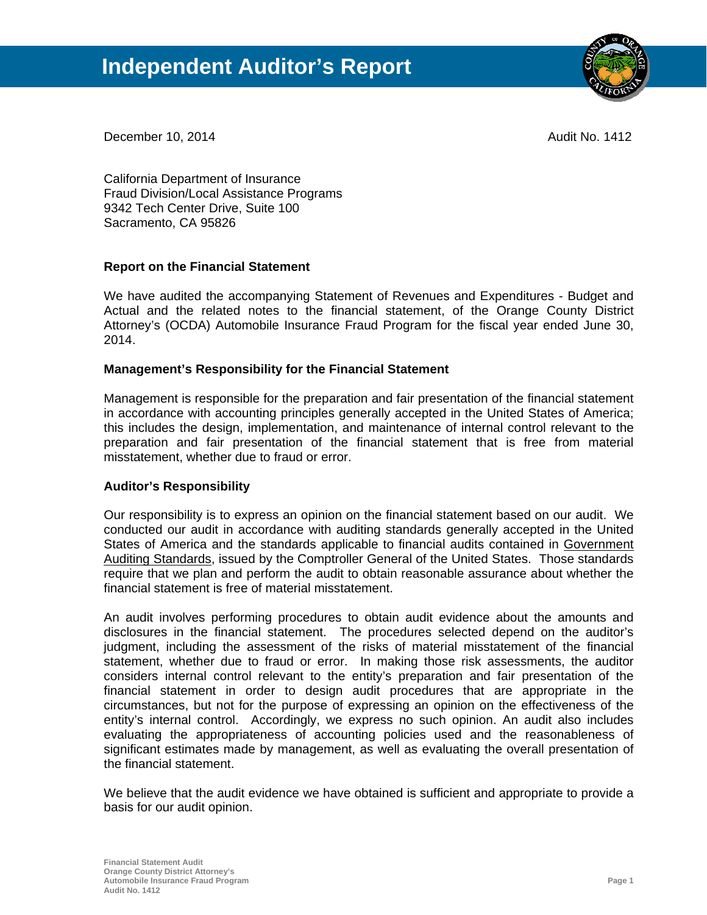

December 10, 2014 **Audit No. 1412 Audit No. 1412** 

California Department of Insurance Fraud Division/Local Assistance Programs 9342 Tech Center Drive, Suite 100 Sacramento, CA 95826

## **Report on the Financial Statement**

We have audited the accompanying Statement of Revenues and Expenditures - Budget and Actual and the related notes to the financial statement, of the Orange County District Attorney's (OCDA) Automobile Insurance Fraud Program for the fiscal year ended June 30, 2014.

## **Management's Responsibility for the Financial Statement**

Management is responsible for the preparation and fair presentation of the financial statement in accordance with accounting principles generally accepted in the United States of America; this includes the design, implementation, and maintenance of internal control relevant to the preparation and fair presentation of the financial statement that is free from material misstatement, whether due to fraud or error.

## **Auditor's Responsibility**

Our responsibility is to express an opinion on the financial statement based on our audit. We conducted our audit in accordance with auditing standards generally accepted in the United States of America and the standards applicable to financial audits contained in Government Auditing Standards, issued by the Comptroller General of the United States. Those standards require that we plan and perform the audit to obtain reasonable assurance about whether the financial statement is free of material misstatement.

An audit involves performing procedures to obtain audit evidence about the amounts and disclosures in the financial statement. The procedures selected depend on the auditor's judgment, including the assessment of the risks of material misstatement of the financial statement, whether due to fraud or error. In making those risk assessments, the auditor considers internal control relevant to the entity's preparation and fair presentation of the financial statement in order to design audit procedures that are appropriate in the circumstances, but not for the purpose of expressing an opinion on the effectiveness of the entity's internal control. Accordingly, we express no such opinion. An audit also includes evaluating the appropriateness of accounting policies used and the reasonableness of significant estimates made by management, as well as evaluating the overall presentation of the financial statement.

We believe that the audit evidence we have obtained is sufficient and appropriate to provide a basis for our audit opinion.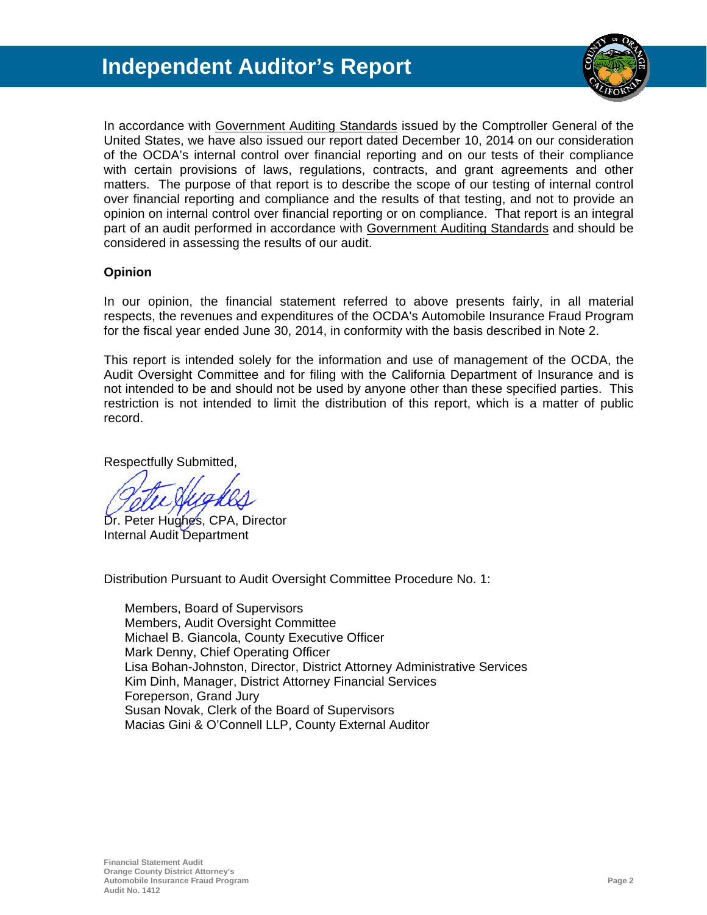

In accordance with Government Auditing Standards issued by the Comptroller General of the United States, we have also issued our report dated December 10, 2014 on our consideration of the OCDA's internal control over financial reporting and on our tests of their compliance with certain provisions of laws, regulations, contracts, and grant agreements and other matters. The purpose of that report is to describe the scope of our testing of internal control over financial reporting and compliance and the results of that testing, and not to provide an opinion on internal control over financial reporting or on compliance. That report is an integral part of an audit performed in accordance with Government Auditing Standards and should be considered in assessing the results of our audit.

## **Opinion**

In our opinion, the financial statement referred to above presents fairly, in all material respects, the revenues and expenditures of the OCDA's Automobile Insurance Fraud Program for the fiscal year ended June 30, 2014, in conformity with the basis described in Note 2.

This report is intended solely for the information and use of management of the OCDA, the Audit Oversight Committee and for filing with the California Department of Insurance and is not intended to be and should not be used by anyone other than these specified parties. This restriction is not intended to limit the distribution of this report, which is a matter of public record.

Respectfully Submitted,

Dr. Peter Hughes, CPA, Director Internal Audit Department

Distribution Pursuant to Audit Oversight Committee Procedure No. 1:

 Members, Board of Supervisors Members, Audit Oversight Committee Michael B. Giancola, County Executive Officer Mark Denny, Chief Operating Officer Lisa Bohan-Johnston, Director, District Attorney Administrative Services Kim Dinh, Manager, District Attorney Financial Services Foreperson, Grand Jury Susan Novak, Clerk of the Board of Supervisors Macias Gini & O'Connell LLP, County External Auditor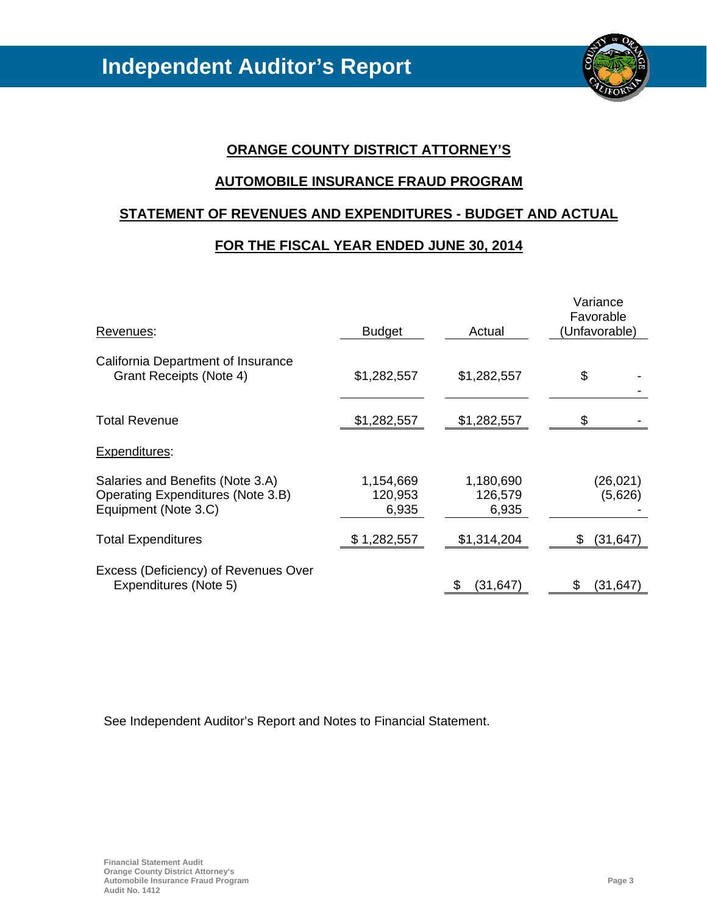

# **ORANGE COUNTY DISTRICT ATTORNEY'S**

# **AUTOMOBILE INSURANCE FRAUD PROGRAM**

# **STATEMENT OF REVENUES AND EXPENDITURES - BUDGET AND ACTUAL**

# **FOR THE FISCAL YEAR ENDED JUNE 30, 2014**

| Revenues:                                                                                            | <b>Budget</b>                 | Actual                        | Variance<br>Favorable<br>Unfavorable) |
|------------------------------------------------------------------------------------------------------|-------------------------------|-------------------------------|---------------------------------------|
| California Department of Insurance<br>Grant Receipts (Note 4)                                        | \$1,282,557                   | \$1,282,557                   | \$                                    |
| <b>Total Revenue</b>                                                                                 | \$1,282,557                   | \$1,282,557                   | \$                                    |
| Expenditures:                                                                                        |                               |                               |                                       |
| Salaries and Benefits (Note 3.A)<br><b>Operating Expenditures (Note 3.B)</b><br>Equipment (Note 3.C) | 1,154,669<br>120,953<br>6,935 | 1,180,690<br>126,579<br>6,935 | (26, 021)<br>(5,626)                  |
| Total Expenditures                                                                                   | \$1,282,557                   | \$1,314,204                   | (31, 647)<br>S.                       |
| Excess (Deficiency) of Revenues Over<br>Expenditures (Note 5)                                        |                               | (31,647)                      | (31,647)                              |

See Independent Auditor's Report and Notes to Financial Statement.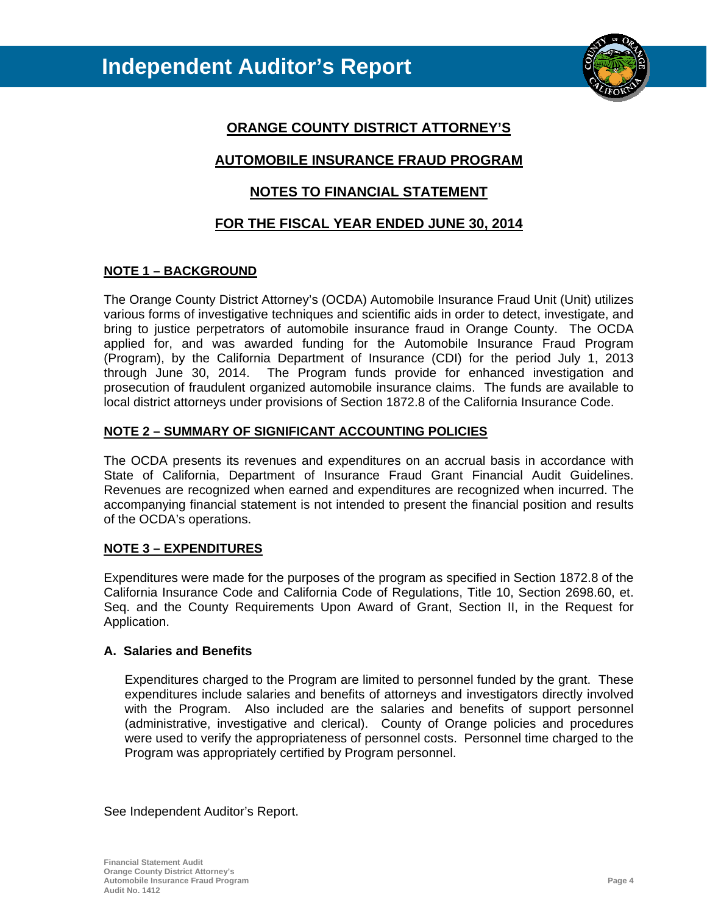

# **ORANGE COUNTY DISTRICT ATTORNEY'S**

# **AUTOMOBILE INSURANCE FRAUD PROGRAM**

# **NOTES TO FINANCIAL STATEMENT**

# **FOR THE FISCAL YEAR ENDED JUNE 30, 2014**

## **NOTE 1 – BACKGROUND**

The Orange County District Attorney's (OCDA) Automobile Insurance Fraud Unit (Unit) utilizes various forms of investigative techniques and scientific aids in order to detect, investigate, and bring to justice perpetrators of automobile insurance fraud in Orange County. The OCDA applied for, and was awarded funding for the Automobile Insurance Fraud Program (Program), by the California Department of Insurance (CDI) for the period July 1, 2013 through June 30, 2014. The Program funds provide for enhanced investigation and prosecution of fraudulent organized automobile insurance claims. The funds are available to local district attorneys under provisions of Section 1872.8 of the California Insurance Code.

## **NOTE 2 – SUMMARY OF SIGNIFICANT ACCOUNTING POLICIES**

The OCDA presents its revenues and expenditures on an accrual basis in accordance with State of California, Department of Insurance Fraud Grant Financial Audit Guidelines. Revenues are recognized when earned and expenditures are recognized when incurred. The accompanying financial statement is not intended to present the financial position and results of the OCDA's operations.

## **NOTE 3 – EXPENDITURES**

Expenditures were made for the purposes of the program as specified in Section 1872.8 of the California Insurance Code and California Code of Regulations, Title 10, Section 2698.60, et. Seq. and the County Requirements Upon Award of Grant, Section II, in the Request for Application.

## **A. Salaries and Benefits**

 Expenditures charged to the Program are limited to personnel funded by the grant. These expenditures include salaries and benefits of attorneys and investigators directly involved with the Program. Also included are the salaries and benefits of support personnel (administrative, investigative and clerical). County of Orange policies and procedures were used to verify the appropriateness of personnel costs. Personnel time charged to the Program was appropriately certified by Program personnel.

See Independent Auditor's Report.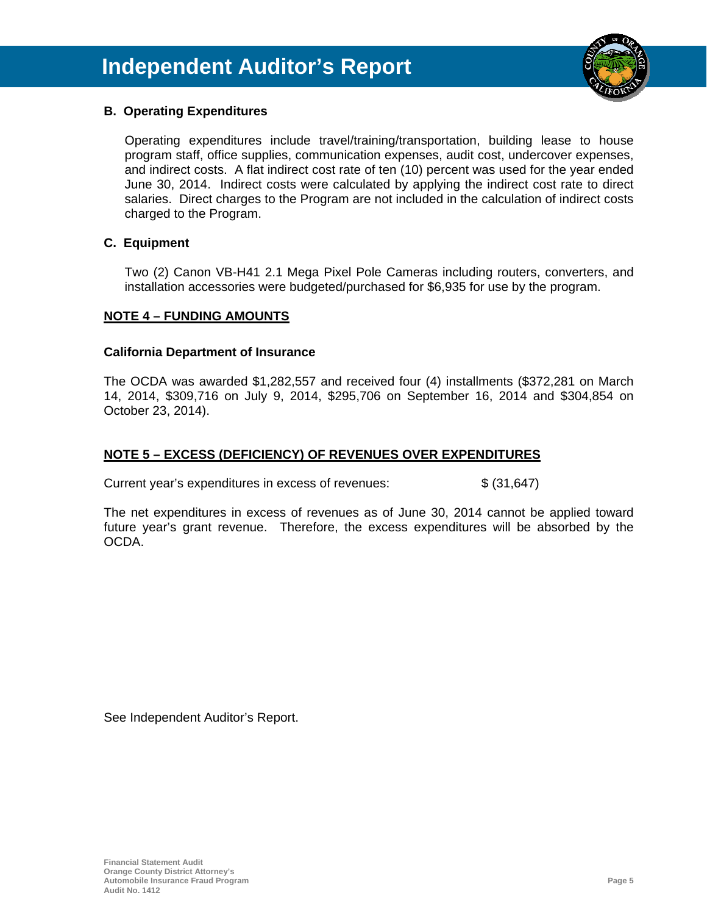# **Independent Auditor's Report**



## **B. Operating Expenditures**

 Operating expenditures include travel/training/transportation, building lease to house program staff, office supplies, communication expenses, audit cost, undercover expenses, and indirect costs. A flat indirect cost rate of ten (10) percent was used for the year ended June 30, 2014. Indirect costs were calculated by applying the indirect cost rate to direct salaries. Direct charges to the Program are not included in the calculation of indirect costs charged to the Program.

## **C. Equipment**

Two (2) Canon VB-H41 2.1 Mega Pixel Pole Cameras including routers, converters, and installation accessories were budgeted/purchased for \$6,935 for use by the program.

## **NOTE 4 – FUNDING AMOUNTS**

#### **California Department of Insurance**

The OCDA was awarded \$1,282,557 and received four (4) installments (\$372,281 on March 14, 2014, \$309,716 on July 9, 2014, \$295,706 on September 16, 2014 and \$304,854 on October 23, 2014).

## **NOTE 5 – EXCESS (DEFICIENCY) OF REVENUES OVER EXPENDITURES**

Current year's expenditures in excess of revenues: \$ (31,647)

The net expenditures in excess of revenues as of June 30, 2014 cannot be applied toward future year's grant revenue. Therefore, the excess expenditures will be absorbed by the OCDA.

See Independent Auditor's Report.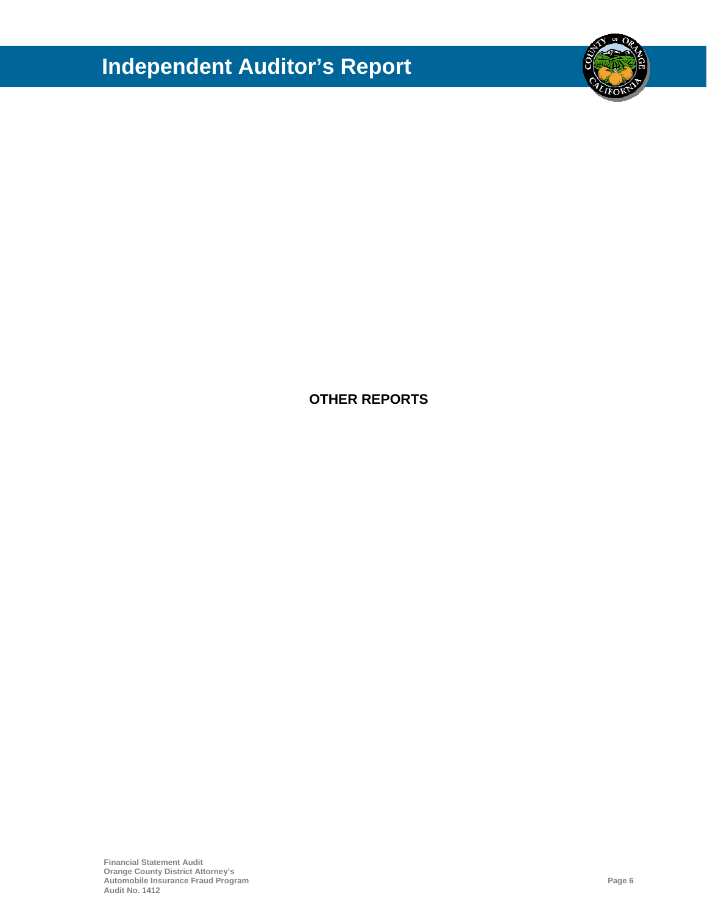# **Independent Auditor's Report**



**OTHER REPORTS** 

**Financial Statement Audit Orange County District Attorney's Automobile Insurance Fraud Program Page 6 Audit No. 1412**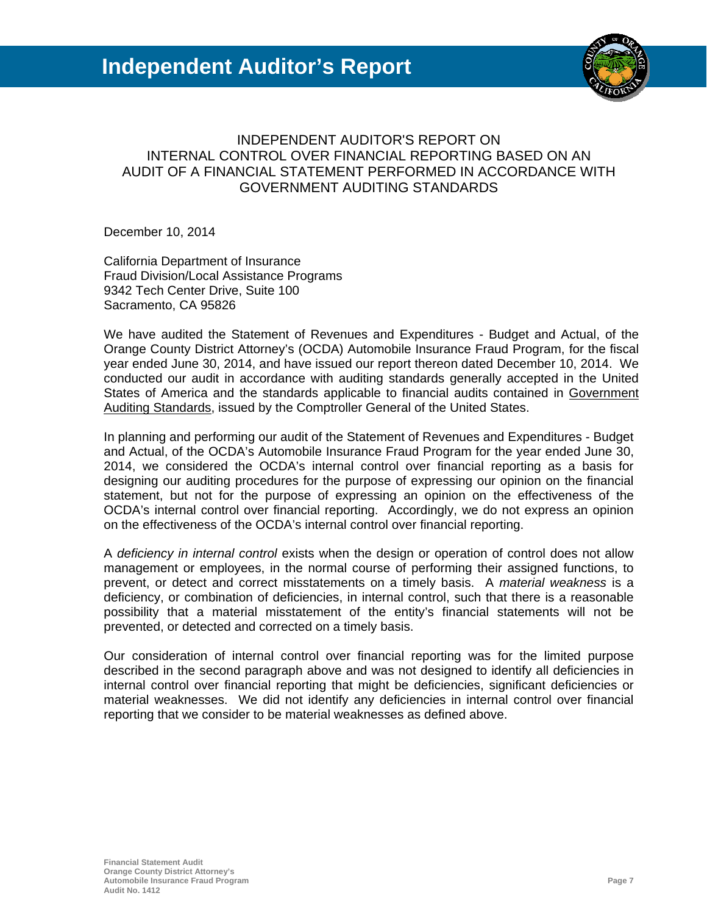

# INDEPENDENT AUDITOR'S REPORT ON INTERNAL CONTROL OVER FINANCIAL REPORTING BASED ON AN AUDIT OF A FINANCIAL STATEMENT PERFORMED IN ACCORDANCE WITH GOVERNMENT AUDITING STANDARDS

December 10, 2014

California Department of Insurance Fraud Division/Local Assistance Programs 9342 Tech Center Drive, Suite 100 Sacramento, CA 95826

We have audited the Statement of Revenues and Expenditures - Budget and Actual, of the Orange County District Attorney's (OCDA) Automobile Insurance Fraud Program, for the fiscal year ended June 30, 2014, and have issued our report thereon dated December 10, 2014. We conducted our audit in accordance with auditing standards generally accepted in the United States of America and the standards applicable to financial audits contained in Government Auditing Standards, issued by the Comptroller General of the United States.

In planning and performing our audit of the Statement of Revenues and Expenditures - Budget and Actual, of the OCDA's Automobile Insurance Fraud Program for the year ended June 30, 2014, we considered the OCDA's internal control over financial reporting as a basis for designing our auditing procedures for the purpose of expressing our opinion on the financial statement, but not for the purpose of expressing an opinion on the effectiveness of the OCDA's internal control over financial reporting. Accordingly, we do not express an opinion on the effectiveness of the OCDA's internal control over financial reporting.

A *deficiency in internal control* exists when the design or operation of control does not allow management or employees, in the normal course of performing their assigned functions, to prevent, or detect and correct misstatements on a timely basis. A *material weakness* is a deficiency, or combination of deficiencies, in internal control, such that there is a reasonable possibility that a material misstatement of the entity's financial statements will not be prevented, or detected and corrected on a timely basis.

Our consideration of internal control over financial reporting was for the limited purpose described in the second paragraph above and was not designed to identify all deficiencies in internal control over financial reporting that might be deficiencies, significant deficiencies or material weaknesses. We did not identify any deficiencies in internal control over financial reporting that we consider to be material weaknesses as defined above.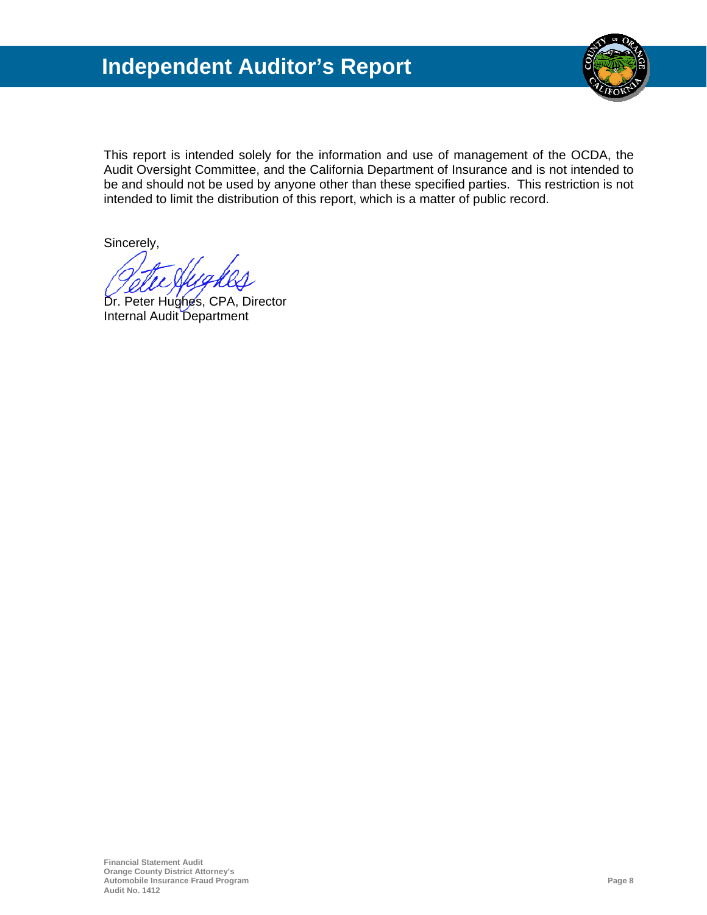# **Independent Auditor's Report**



This report is intended solely for the information and use of management of the OCDA, the Audit Oversight Committee, and the California Department of Insurance and is not intended to be and should not be used by anyone other than these specified parties. This restriction is not intended to limit the distribution of this report, which is a matter of public record.

Sincerely,

Dr. Peter Hughes, CPA, Director Internal Audit Department